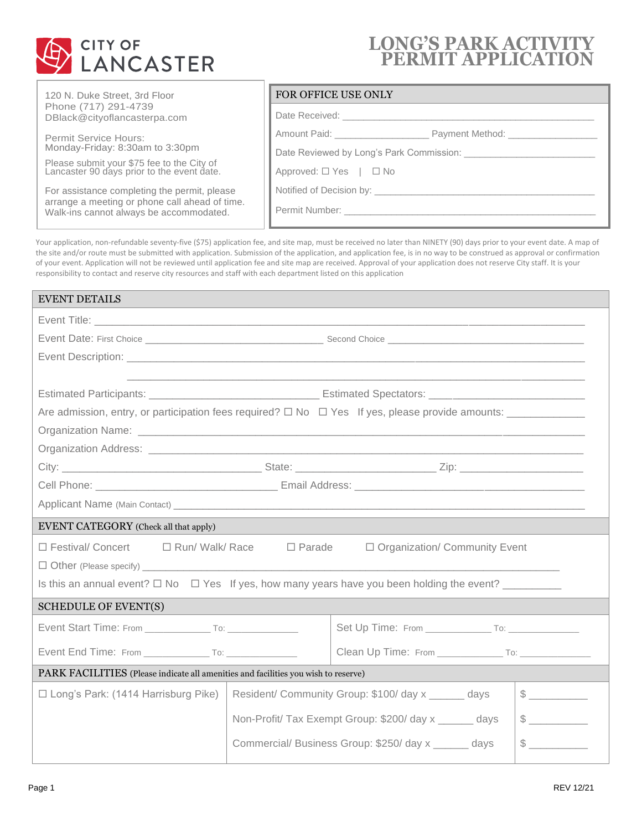

# **LONG'S PARK ACTIVITY PERMIT APPLICATION**

| 120 N. Duke Street, 3rd Floor |
|-------------------------------|
| Phone (717) 291-4739          |
| DBlack@cityoflancasterpa.com  |

Permit Service Hours: Monday-Friday: 8:30am to 3:30pm

Please submit your \$75 fee to the City of Lancaster 90 days prior to the event date.

For assistance completing the permit, please arrange a meeting or phone call ahead of time. Walk-ins cannot always be accommodated.

### FOR OFFICE USE ONLY

| Amount Paid: _______________________<br>Payment Method: _________________ |
|---------------------------------------------------------------------------|
|                                                                           |
| Approved: $\Box$ Yes $ \Box$ No                                           |
| Notified of Decision by: Notified of Decision by:                         |
| Permit Number: __________________                                         |
|                                                                           |

Your application, non-refundable seventy-five (\$75) application fee, and site map, must be received no later than NINETY (90) days prior to your event date. A map of the site and/or route must be submitted with application. Submission of the application, and application fee, is in no way to be construed as approval or confirmation of your event. Application will not be reviewed until application fee and site map are received. Approval of your application does not reserve City staff. It is your responsibility to contact and reserve city resources and staff with each department listed on this application

| <b>EVENT DETAILS</b>                                                                                        |                                                                                                                     |                                                        |  |               |
|-------------------------------------------------------------------------------------------------------------|---------------------------------------------------------------------------------------------------------------------|--------------------------------------------------------|--|---------------|
|                                                                                                             |                                                                                                                     |                                                        |  |               |
|                                                                                                             |                                                                                                                     |                                                        |  |               |
|                                                                                                             |                                                                                                                     |                                                        |  |               |
|                                                                                                             | <u> 1989 - Johann John Stoff, deutscher Stoffen und der Stoffen und der Stoffen und der Stoffen und der Stoffen</u> |                                                        |  |               |
|                                                                                                             |                                                                                                                     |                                                        |  |               |
|                                                                                                             |                                                                                                                     |                                                        |  |               |
|                                                                                                             |                                                                                                                     |                                                        |  |               |
|                                                                                                             |                                                                                                                     |                                                        |  |               |
|                                                                                                             |                                                                                                                     |                                                        |  |               |
|                                                                                                             |                                                                                                                     |                                                        |  |               |
|                                                                                                             |                                                                                                                     |                                                        |  |               |
| <b>EVENT CATEGORY</b> (Check all that apply)                                                                |                                                                                                                     |                                                        |  |               |
| □ Festival/ Concert<br>□ Run/ Walk/ Race                                                                    | $\Box$ Parade                                                                                                       | □ Organization/ Community Event                        |  |               |
|                                                                                                             |                                                                                                                     |                                                        |  |               |
| Is this an annual event? $\square$ No $\square$ Yes If yes, how many years have you been holding the event? |                                                                                                                     |                                                        |  |               |
| <b>SCHEDULE OF EVENT(S)</b>                                                                                 |                                                                                                                     |                                                        |  |               |
|                                                                                                             |                                                                                                                     |                                                        |  |               |
|                                                                                                             |                                                                                                                     |                                                        |  |               |
| PARK FACILITIES (Please indicate all amenities and facilities you wish to reserve)                          |                                                                                                                     |                                                        |  |               |
| $\Box$ Long's Park: (1414 Harrisburg Pike)                                                                  |                                                                                                                     | Resident/ Community Group: \$100/ day x ______ days    |  | $\frac{1}{2}$ |
|                                                                                                             |                                                                                                                     | Non-Profit/ Tax Exempt Group: \$200/ day x ______ days |  | $\sim$        |
|                                                                                                             |                                                                                                                     | Commercial/ Business Group: \$250/ day x ______ days   |  |               |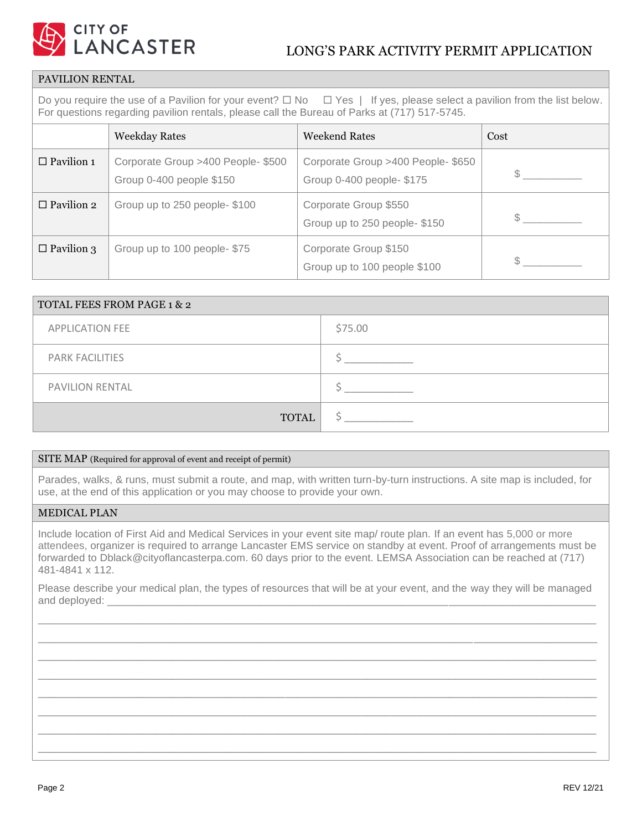

## PAVILION RENTAL

Do you require the use of a Pavilion for your event?  $\Box$  No  $\Box$  Yes | If yes, please select a pavilion from the list below. For questions regarding pavilion rentals, please call the Bureau of Parks at (717) 517-5745.

|                   | <b>Weekday Rates</b>                                           | <b>Weekend Rates</b>                                            | Cost |
|-------------------|----------------------------------------------------------------|-----------------------------------------------------------------|------|
| $\Box$ Pavilion 1 | Corporate Group >400 People- \$500<br>Group 0-400 people \$150 | Corporate Group >400 People- \$650<br>Group 0-400 people- \$175 |      |
| $\Box$ Pavilion 2 | Group up to 250 people-\$100                                   | Corporate Group \$550<br>Group up to 250 people-\$150           |      |
| $\Box$ Pavilion 3 | Group up to 100 people-\$75                                    | Corporate Group \$150<br>Group up to 100 people \$100           |      |

| <b>TOTAL FEES FROM PAGE 1 &amp; 2</b> |         |  |
|---------------------------------------|---------|--|
| <b>APPLICATION FEE</b>                | \$75.00 |  |
| <b>PARK FACILITIES</b>                |         |  |
| <b>PAVILION RENTAL</b>                |         |  |
| <b>TOTAL</b>                          |         |  |

#### SITE MAP (Required for approval of event and receipt of permit)

Parades, walks, & runs, must submit a route, and map, with written turn-by-turn instructions. A site map is included, for use, at the end of this application or you may choose to provide your own.

#### MEDICAL PLAN

Include location of First Aid and Medical Services in your event site map/ route plan. If an event has 5,000 or more attendees, organizer is required to arrange Lancaster EMS service on standby at event. Proof of arrangements must be forwarded to Dblack@cityoflancasterpa.com. 60 days prior to the event. LEMSA Association can be reached at (717) 481-4841 x 112.

Please describe your medical plan, the types of resources that will be at your event, and the way they will be managed and deployed:

\_\_\_\_\_\_\_\_\_\_\_\_\_\_\_\_\_\_\_\_\_\_\_\_\_\_\_\_\_\_\_\_\_\_\_\_\_\_\_\_\_\_\_\_\_\_\_\_\_\_\_\_\_\_\_\_\_\_\_\_\_\_\_\_\_\_\_\_\_\_\_\_\_\_\_\_\_\_\_\_\_\_\_\_\_\_\_\_\_\_\_\_\_\_\_ \_\_\_\_\_\_\_\_\_\_\_\_\_\_\_\_\_\_\_\_\_\_\_\_\_\_\_\_\_\_\_\_\_\_\_\_\_\_\_\_\_\_\_\_\_\_\_\_\_\_\_\_\_\_\_\_\_\_\_\_\_\_\_\_\_\_\_\_\_\_\_\_\_\_\_\_\_\_\_\_\_\_\_\_\_\_\_\_\_\_\_\_\_\_\_ \_\_\_\_\_\_\_\_\_\_\_\_\_\_\_\_\_\_\_\_\_\_\_\_\_\_\_\_\_\_\_\_\_\_\_\_\_\_\_\_\_\_\_\_\_\_\_\_\_\_\_\_\_\_\_\_\_\_\_\_\_\_\_\_\_\_\_\_\_\_\_\_\_\_\_\_\_\_\_\_\_\_\_\_\_\_\_\_\_\_\_\_\_\_\_ \_\_\_\_\_\_\_\_\_\_\_\_\_\_\_\_\_\_\_\_\_\_\_\_\_\_\_\_\_\_\_\_\_\_\_\_\_\_\_\_\_\_\_\_\_\_\_\_\_\_\_\_\_\_\_\_\_\_\_\_\_\_\_\_\_\_\_\_\_\_\_\_\_\_\_\_\_\_\_\_\_\_\_\_\_\_\_\_\_\_\_\_\_\_\_ \_\_\_\_\_\_\_\_\_\_\_\_\_\_\_\_\_\_\_\_\_\_\_\_\_\_\_\_\_\_\_\_\_\_\_\_\_\_\_\_\_\_\_\_\_\_\_\_\_\_\_\_\_\_\_\_\_\_\_\_\_\_\_\_\_\_\_\_\_\_\_\_\_\_\_\_\_\_\_\_\_\_\_\_\_\_\_\_\_\_\_\_\_\_\_ \_\_\_\_\_\_\_\_\_\_\_\_\_\_\_\_\_\_\_\_\_\_\_\_\_\_\_\_\_\_\_\_\_\_\_\_\_\_\_\_\_\_\_\_\_\_\_\_\_\_\_\_\_\_\_\_\_\_\_\_\_\_\_\_\_\_\_\_\_\_\_\_\_\_\_\_\_\_\_\_\_\_\_\_\_\_\_\_\_\_\_\_\_\_\_ \_\_\_\_\_\_\_\_\_\_\_\_\_\_\_\_\_\_\_\_\_\_\_\_\_\_\_\_\_\_\_\_\_\_\_\_\_\_\_\_\_\_\_\_\_\_\_\_\_\_\_\_\_\_\_\_\_\_\_\_\_\_\_\_\_\_\_\_\_\_\_\_\_\_\_\_\_\_\_\_\_\_\_\_\_\_\_\_\_\_\_\_\_\_\_ \_\_\_\_\_\_\_\_\_\_\_\_\_\_\_\_\_\_\_\_\_\_\_\_\_\_\_\_\_\_\_\_\_\_\_\_\_\_\_\_\_\_\_\_\_\_\_\_\_\_\_\_\_\_\_\_\_\_\_\_\_\_\_\_\_\_\_\_\_\_\_\_\_\_\_\_\_\_\_\_\_\_\_\_\_\_\_\_\_\_\_\_\_\_\_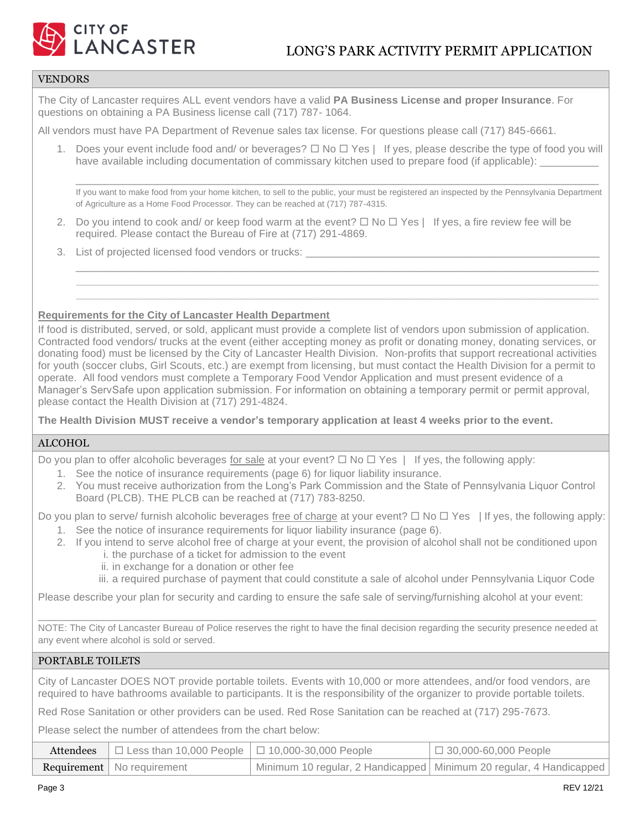

### VENDORS

The City of Lancaster requires ALL event vendors have a valid **PA Business License and proper Insurance**. For questions on obtaining a PA Business license call (717) 787- 1064.

All vendors must have PA Department of Revenue sales tax license. For questions please call (717) 845-6661.

1. Does your event include food and/ or beverages?  $\Box$  No  $\Box$  Yes | If yes, please describe the type of food you will have available including documentation of commissary kitchen used to prepare food (if applicable):

\_\_\_\_\_\_\_\_\_\_\_\_\_\_\_\_\_\_\_\_\_\_\_\_\_\_\_\_\_\_\_\_\_\_\_\_\_\_\_\_\_\_\_\_\_\_\_\_\_\_\_\_\_\_\_\_\_\_\_\_\_\_\_\_\_\_\_\_\_\_\_\_\_\_\_\_\_\_\_\_\_\_\_\_\_\_\_\_\_ If you want to make food from your home kitchen, to sell to the public, your must be registered an inspected by the Pennsylvania Department of Agriculture as a Home Food Processor. They can be reached at (717) 787-4315.

\_\_\_\_\_\_\_\_\_\_\_\_\_\_\_\_\_\_\_\_\_\_\_\_\_\_\_\_\_\_\_\_\_\_\_\_\_\_\_\_\_\_\_\_\_\_\_\_\_\_\_\_\_\_\_\_\_\_\_\_\_\_\_\_\_\_\_\_\_\_\_\_\_\_\_\_\_\_\_\_\_\_\_\_\_\_\_\_\_

2. Do you intend to cook and/ or keep food warm at the event?  $\Box$  No  $\Box$  Yes | If yes, a fire review fee will be required. Please contact the Bureau of Fire at (717) 291-4869.

 **\_\_\_\_\_\_\_\_\_\_\_\_\_\_\_\_\_\_\_\_\_\_\_\_\_\_\_\_\_\_\_\_\_\_\_\_\_\_\_\_\_\_\_\_\_\_\_\_\_\_\_\_\_\_\_\_\_\_\_\_\_\_\_\_\_\_\_\_\_\_\_\_\_\_\_\_\_\_\_\_\_\_\_\_\_\_\_\_\_ \_\_\_\_\_\_\_\_\_\_\_\_\_\_\_\_\_\_\_\_\_\_\_\_\_\_\_\_\_\_\_\_\_\_\_\_\_\_\_\_\_\_\_\_\_\_\_\_\_\_\_\_\_\_\_\_\_\_\_\_\_\_\_\_\_\_\_\_\_\_\_\_\_\_\_\_\_\_\_\_\_\_\_\_\_\_\_\_\_**

3. List of projected licensed food vendors or trucks:

#### **Requirements for the City of Lancaster Health Department**

If food is distributed, served, or sold, applicant must provide a complete list of vendors upon submission of application. Contracted food vendors/ trucks at the event (either accepting money as profit or donating money, donating services, or donating food) must be licensed by the City of Lancaster Health Division. Non-profits that support recreational activities for youth (soccer clubs, Girl Scouts, etc.) are exempt from licensing, but must contact the Health Division for a permit to operate. All food vendors must complete a Temporary Food Vendor Application and must present evidence of a Manager's ServSafe upon application submission. For information on obtaining a temporary permit or permit approval, please contact the Health Division at (717) 291-4824.

**The Health Division MUST receive a vendor's temporary application at least 4 weeks prior to the event.**

#### ALCOHOL

Do you plan to offer alcoholic beverages for sale at your event?  $\Box$  No  $\Box$  Yes | If yes, the following apply:

- 1. See the notice of insurance requirements (page 6) for liquor liability insurance.
- 2. You must receive authorization from the Long's Park Commission and the State of Pennsylvania Liquor Control Board (PLCB). THE PLCB can be reached at (717) 783-8250.

Do you plan to serve/ furnish alcoholic beverages free of charge at your event?  $\Box$  No  $\Box$  Yes | If yes, the following apply:

- 1. See the notice of insurance requirements for liquor liability insurance (page 6).
- 2. If you intend to serve alcohol free of charge at your event, the provision of alcohol shall not be conditioned upon i. the purchase of a ticket for admission to the event
	- ii. in exchange for a donation or other fee

iii. a required purchase of payment that could constitute a sale of alcohol under Pennsylvania Liquor Code

Please describe your plan for security and carding to ensure the safe sale of serving/furnishing alcohol at your event:

\_\_\_\_\_\_\_\_\_\_\_\_\_\_\_\_\_\_\_\_\_\_\_\_\_\_\_\_\_\_\_\_\_\_\_\_\_\_\_\_\_\_\_\_\_\_\_\_\_\_\_\_\_\_\_\_\_\_\_\_\_\_\_\_\_\_\_\_\_\_\_\_\_\_\_\_\_\_\_\_\_\_\_\_\_\_\_\_\_\_\_\_\_\_\_ NOTE: The City of Lancaster Bureau of Police reserves the right to have the final decision regarding the security presence needed at any event where alcohol is sold or served.

### PORTABLE TOILETS

City of Lancaster DOES NOT provide portable toilets. Events with 10,000 or more attendees, and/or food vendors, are required to have bathrooms available to participants. It is the responsibility of the organizer to provide portable toilets.

Red Rose Sanitation or other providers can be used. Red Rose Sanitation can be reached at (717) 295-7673.

Please select the number of attendees from the chart below:

| Attendees $\Box$ Less than 10,000 People $\Box$ 10,000-30,000 People | $\Box$ 30,000-60,000 People                                         |
|----------------------------------------------------------------------|---------------------------------------------------------------------|
| <b>Requirement</b>   No requirement                                  | Minimum 10 regular, 2 Handicapped Minimum 20 regular, 4 Handicapped |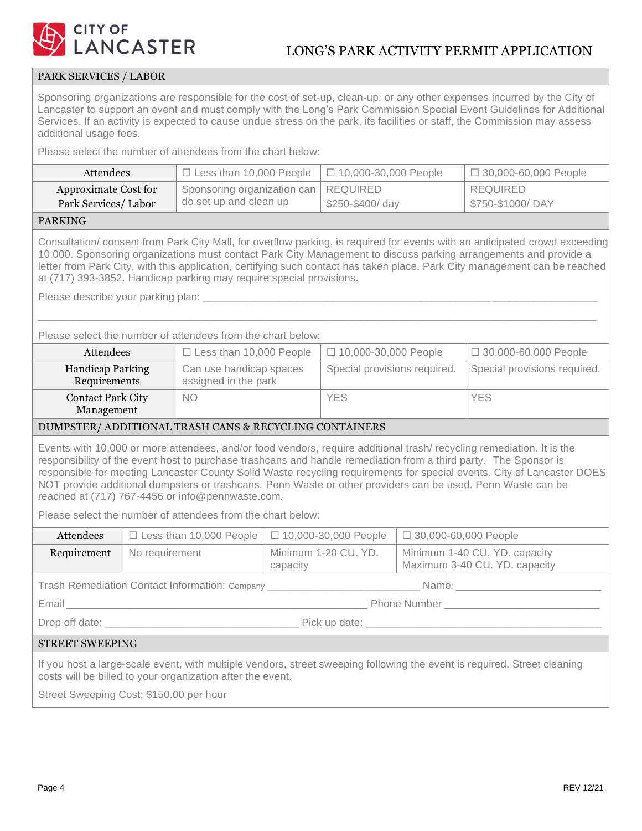

## PARK SERVICES / LABOR

Sponsoring organizations are responsible for the cost of set-up, clean-up, or any other expenses incurred by the City of Lancaster to support an event and must comply with the Long's Park Commission Special Event Guidelines for Additional Services. If an activity is expected to cause undue stress on the park, its facilities or staff, the Commission may assess additional usage fees.

Please select the number of attendees from the chart below:

| Attendees            | $\Box$ Less than 10,000 People         | $\Box$ 10,000-30,000 People | $\Box$ 30,000-60,000 People |
|----------------------|----------------------------------------|-----------------------------|-----------------------------|
| Approximate Cost for | Sponsoring organization can   REQUIRED |                             | REQUIRED                    |
| Park Services/Labor  | do set up and clean up                 | \$250-\$400/day             | \$750-\$1000/DAY            |
|                      |                                        |                             |                             |

#### PARKING

Consultation/ consent from Park City Mall, for overflow parking, is required for events with an anticipated crowd exceeding 10,000. Sponsoring organizations must contact Park City Management to discuss parking arrangements and provide a letter from Park City, with this application, certifying such contact has taken place. Park City management can be reached at (717) 393-3852. Handicap parking may require special provisions.

\_\_\_\_\_\_\_\_\_\_\_\_\_\_\_\_\_\_\_\_\_\_\_\_\_\_\_\_\_\_\_\_\_\_\_\_\_\_\_\_\_\_\_\_\_\_\_\_\_\_\_\_\_\_\_\_\_\_\_\_\_\_\_\_\_\_\_\_\_\_\_\_\_\_\_\_\_\_\_\_\_\_\_\_\_\_\_\_\_\_\_\_\_\_\_

Please describe your parking plan:

Please select the number of attendees from the chart below:

| Attendees                               | $\Box$ Less than 10,000 People                  | $\Box$ 10,000-30,000 People  | $\Box$ 30,000-60,000 People  |
|-----------------------------------------|-------------------------------------------------|------------------------------|------------------------------|
| <b>Handicap Parking</b><br>Requirements | Can use handicap spaces<br>assigned in the park | Special provisions required. | Special provisions required. |
| <b>Contact Park City</b><br>Management  | <b>NO</b>                                       | <b>YES</b>                   | <b>YES</b>                   |

#### DUMPSTER/ ADDITIONAL TRASH CANS & RECYCLING CONTAINERS

Events with 10,000 or more attendees, and/or food vendors, require additional trash/ recycling remediation. It is the responsibility of the event host to purchase trashcans and handle remediation from a third party. The Sponsor is responsible for meeting Lancaster County Solid Waste recycling requirements for special events. City of Lancaster DOES NOT provide additional dumpsters or trashcans. Penn Waste or other providers can be used. Penn Waste can be reached at (717) 767-4456 or info@pennwaste.com.

Please select the number of attendees from the chart below:

| Attendees | □ Less than 10,000 People   □ 10,000-30,000 People   □ 30,000-60,000 People |                                    |                                                                |
|-----------|-----------------------------------------------------------------------------|------------------------------------|----------------------------------------------------------------|
|           | <b>Requirement</b>   No requirement                                         | I Minimum 1-20 CU. YD.<br>capacity | Minimum 1-40 CU. YD. capacity<br>Maximum 3-40 CU. YD. capacity |

Trash Remediation Contact Information: Company \_\_\_\_\_\_\_\_\_\_\_\_\_\_\_\_\_\_\_\_\_\_\_\_\_\_\_\_\_\_\_\_\_ Name: \_\_\_\_\_\_\_\_\_\_\_\_\_\_\_\_\_\_\_\_\_\_\_\_\_\_\_\_\_\_\_

Email **Email Email Email Email Email Email Email Email Email Email Email Email Email Email Email Email Email Email Email EM** 

Drop off date: \_\_\_\_\_\_\_\_\_\_\_\_\_\_\_\_\_\_\_\_\_\_\_\_\_\_\_\_\_\_\_\_\_ Pick up date: \_\_\_\_\_\_\_\_\_\_\_\_\_\_\_\_\_\_\_\_\_\_\_\_\_\_\_\_\_\_\_\_\_\_\_\_\_\_\_\_

#### STREET SWEEPING

If you host a large-scale event, with multiple vendors, street sweeping following the event is required. Street cleaning costs will be billed to your organization after the event.

Street Sweeping Cost: \$150.00 per hour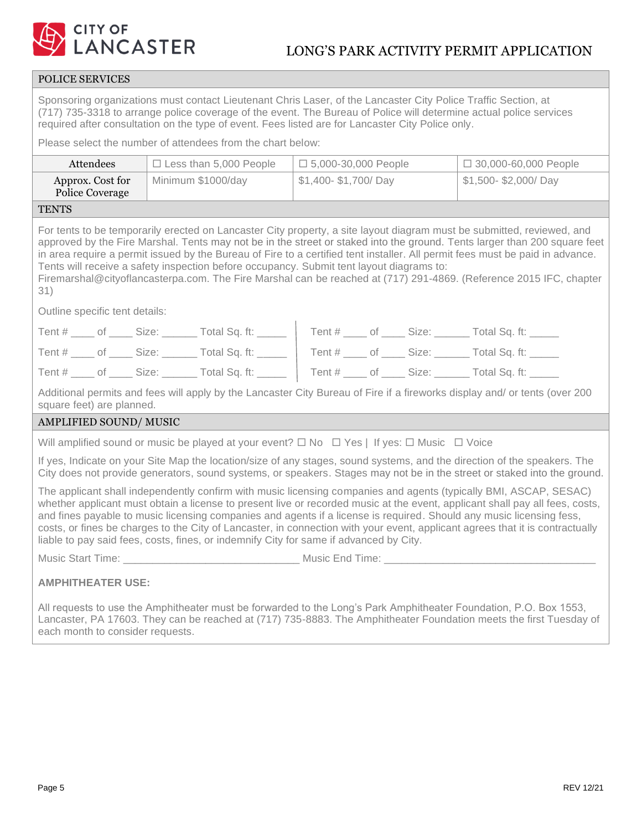

## POLICE SERVICES

Sponsoring organizations must contact Lieutenant Chris Laser, of the Lancaster City Police Traffic Section, at (717) 735-3318 to arrange police coverage of the event. The Bureau of Police will determine actual police services required after consultation on the type of event. Fees listed are for Lancaster City Police only.

Please select the number of attendees from the chart below:

| Attendees<br>$\Box$ Less than 5,000 People<br>$\Box$ 5,000-30,000 People                                                                                                                                                                                                                                                                                                                                                                                                                                                                                                                                      |                                           |  | □ 30,000-60,000 People |                     |  |                                                                                                                                                                                                                                                      |
|---------------------------------------------------------------------------------------------------------------------------------------------------------------------------------------------------------------------------------------------------------------------------------------------------------------------------------------------------------------------------------------------------------------------------------------------------------------------------------------------------------------------------------------------------------------------------------------------------------------|-------------------------------------------|--|------------------------|---------------------|--|------------------------------------------------------------------------------------------------------------------------------------------------------------------------------------------------------------------------------------------------------|
| Approx. Cost for<br>Police Coverage                                                                                                                                                                                                                                                                                                                                                                                                                                                                                                                                                                           | Minimum \$1000/day<br>\$1,400-\$1,700/Day |  |                        | \$1,500-\$2,000/Day |  |                                                                                                                                                                                                                                                      |
| <b>TENTS</b>                                                                                                                                                                                                                                                                                                                                                                                                                                                                                                                                                                                                  |                                           |  |                        |                     |  |                                                                                                                                                                                                                                                      |
| For tents to be temporarily erected on Lancaster City property, a site layout diagram must be submitted, reviewed, and<br>approved by the Fire Marshal. Tents may not be in the street or staked into the ground. Tents larger than 200 square feet<br>in area require a permit issued by the Bureau of Fire to a certified tent installer. All permit fees must be paid in advance.<br>Tents will receive a safety inspection before occupancy. Submit tent layout diagrams to:<br>Firemarshal@cityoflancasterpa.com. The Fire Marshal can be reached at (717) 291-4869. (Reference 2015 IFC, chapter<br>31) |                                           |  |                        |                     |  |                                                                                                                                                                                                                                                      |
| Outline specific tent details:                                                                                                                                                                                                                                                                                                                                                                                                                                                                                                                                                                                |                                           |  |                        |                     |  |                                                                                                                                                                                                                                                      |
| Tent # ____ of ____ Size: ______ Total Sq. ft: _____   Tent # ____ of ____ Size: _____ Total Sq. ft: _____                                                                                                                                                                                                                                                                                                                                                                                                                                                                                                    |                                           |  |                        |                     |  |                                                                                                                                                                                                                                                      |
| Tent # ____ of _____ Size: _______ Total Sq. ft: _____   Tent # ____ of _____ Size: ______ Total Sq. ft: _____                                                                                                                                                                                                                                                                                                                                                                                                                                                                                                |                                           |  |                        |                     |  |                                                                                                                                                                                                                                                      |
| Tent # ____ of ____ Size: ______ Total Sq. ft: _____   Tent # ____ of ____ Size: ______ Total Sq. ft: _____                                                                                                                                                                                                                                                                                                                                                                                                                                                                                                   |                                           |  |                        |                     |  |                                                                                                                                                                                                                                                      |
| square feet) are planned.                                                                                                                                                                                                                                                                                                                                                                                                                                                                                                                                                                                     |                                           |  |                        |                     |  | Additional permits and fees will apply by the Lancaster City Bureau of Fire if a fireworks display and/ or tents (over 200                                                                                                                           |
| AMPLIFIED SOUND/MUSIC                                                                                                                                                                                                                                                                                                                                                                                                                                                                                                                                                                                         |                                           |  |                        |                     |  |                                                                                                                                                                                                                                                      |
| Will amplified sound or music be played at your event? $\Box$ No $\Box$ Yes   If yes: $\Box$ Music $\Box$ Voice                                                                                                                                                                                                                                                                                                                                                                                                                                                                                               |                                           |  |                        |                     |  |                                                                                                                                                                                                                                                      |
|                                                                                                                                                                                                                                                                                                                                                                                                                                                                                                                                                                                                               |                                           |  |                        |                     |  | If yes, Indicate on your Site Map the location/size of any stages, sound systems, and the direction of the speakers. The<br>City does not provide generators, sound systems, or speakers. Stages may not be in the street or staked into the ground. |
| The applicant shall independently confirm with music licensing companies and agents (typically BMI, ASCAP, SESAC)<br>whether applicant must obtain a license to present live or recorded music at the event, applicant shall pay all fees, costs,<br>and fines payable to music licensing companies and agents if a license is required. Should any music licensing fess,<br>costs, or fines be charges to the City of Lancaster, in connection with your event, applicant agrees that it is contractually<br>liable to pay said fees, costs, fines, or indemnify City for same if advanced by City.          |                                           |  |                        |                     |  |                                                                                                                                                                                                                                                      |
| Music Start Time: National Music End Time: National Music End Time:                                                                                                                                                                                                                                                                                                                                                                                                                                                                                                                                           |                                           |  |                        |                     |  |                                                                                                                                                                                                                                                      |
| <b>AMPHITHEATER USE:</b><br>All requests to use the Amphitheater must be forwarded to the Long's Park Amphitheater Foundation, P.O. Box 1553,                                                                                                                                                                                                                                                                                                                                                                                                                                                                 |                                           |  |                        |                     |  |                                                                                                                                                                                                                                                      |
| Lancaster, PA 17603. They can be reached at (717) 735-8883. The Amphitheater Foundation meets the first Tuesday of                                                                                                                                                                                                                                                                                                                                                                                                                                                                                            |                                           |  |                        |                     |  |                                                                                                                                                                                                                                                      |

each month to consider requests.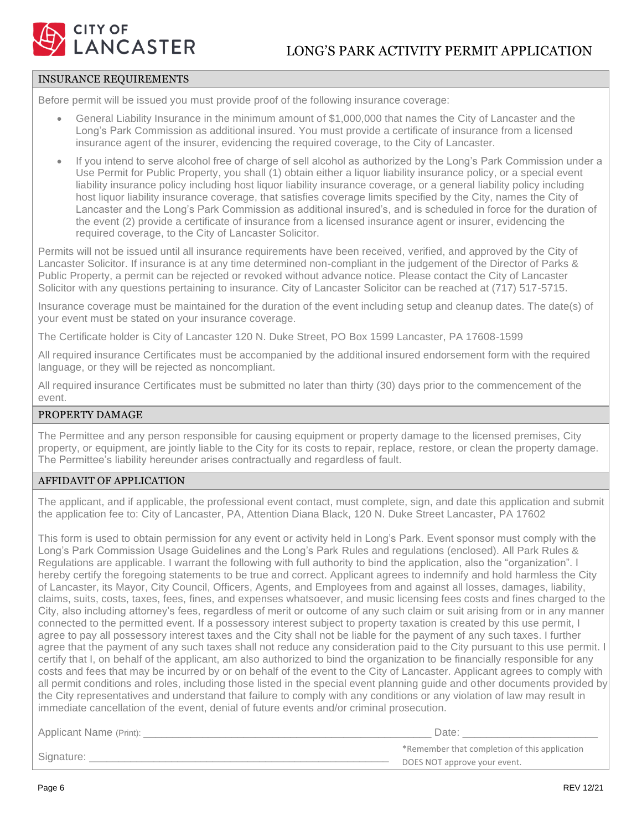

#### INSURANCE REQUIREMENTS

Before permit will be issued you must provide proof of the following insurance coverage:

- General Liability Insurance in the minimum amount of \$1,000,000 that names the City of Lancaster and the Long's Park Commission as additional insured. You must provide a certificate of insurance from a licensed insurance agent of the insurer, evidencing the required coverage, to the City of Lancaster.
- If you intend to serve alcohol free of charge of sell alcohol as authorized by the Long's Park Commission under a Use Permit for Public Property, you shall (1) obtain either a liquor liability insurance policy, or a special event liability insurance policy including host liquor liability insurance coverage, or a general liability policy including host liquor liability insurance coverage, that satisfies coverage limits specified by the City, names the City of Lancaster and the Long's Park Commission as additional insured's, and is scheduled in force for the duration of the event (2) provide a certificate of insurance from a licensed insurance agent or insurer, evidencing the required coverage, to the City of Lancaster Solicitor.

Permits will not be issued until all insurance requirements have been received, verified, and approved by the City of Lancaster Solicitor. If insurance is at any time determined non-compliant in the judgement of the Director of Parks & Public Property, a permit can be rejected or revoked without advance notice. Please contact the City of Lancaster Solicitor with any questions pertaining to insurance. City of Lancaster Solicitor can be reached at (717) 517-5715.

Insurance coverage must be maintained for the duration of the event including setup and cleanup dates. The date(s) of your event must be stated on your insurance coverage.

The Certificate holder is City of Lancaster 120 N. Duke Street, PO Box 1599 Lancaster, PA 17608-1599

All required insurance Certificates must be accompanied by the additional insured endorsement form with the required language, or they will be rejected as noncompliant.

All required insurance Certificates must be submitted no later than thirty (30) days prior to the commencement of the event.

### PROPERTY DAMAGE

The Permittee and any person responsible for causing equipment or property damage to the licensed premises, City property, or equipment, are jointly liable to the City for its costs to repair, replace, restore, or clean the property damage. The Permittee's liability hereunder arises contractually and regardless of fault.

#### AFFIDAVIT OF APPLICATION

The applicant, and if applicable, the professional event contact, must complete, sign, and date this application and submit the application fee to: City of Lancaster, PA, Attention Diana Black, 120 N. Duke Street Lancaster, PA 17602

This form is used to obtain permission for any event or activity held in Long's Park. Event sponsor must comply with the Long's Park Commission Usage Guidelines and the Long's Park Rules and regulations (enclosed). All Park Rules & Regulations are applicable. I warrant the following with full authority to bind the application, also the "organization". I hereby certify the foregoing statements to be true and correct. Applicant agrees to indemnify and hold harmless the City of Lancaster, its Mayor, City Council, Officers, Agents, and Employees from and against all losses, damages, liability, claims, suits, costs, taxes, fees, fines, and expenses whatsoever, and music licensing fees costs and fines charged to the City, also including attorney's fees, regardless of merit or outcome of any such claim or suit arising from or in any manner connected to the permitted event. If a possessory interest subject to property taxation is created by this use permit, I agree to pay all possessory interest taxes and the City shall not be liable for the payment of any such taxes. I further agree that the payment of any such taxes shall not reduce any consideration paid to the City pursuant to this use permit. I certify that I, on behalf of the applicant, am also authorized to bind the organization to be financially responsible for any costs and fees that may be incurred by or on behalf of the event to the City of Lancaster. Applicant agrees to comply with all permit conditions and roles, including those listed in the special event planning guide and other documents provided by the City representatives and understand that failure to comply with any conditions or any violation of law may result in immediate cancellation of the event, denial of future events and/or criminal prosecution.

| Applicant Name (Print): | ⊃ate:                                         |
|-------------------------|-----------------------------------------------|
| Signature:              | *Remember that completion of this application |
|                         | DOES NOT approve your event.                  |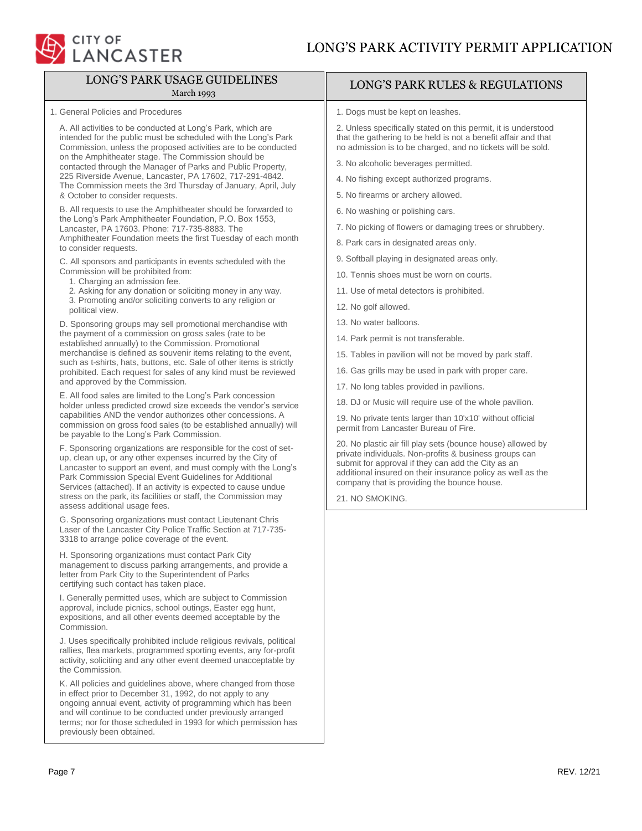

# LONG'S PARK USAGE GUIDELINES

#### March 1993

1. General Policies and Procedures

A. All activities to be conducted at Long's Park, which are intended for the public must be scheduled with the Long's Park Commission, unless the proposed activities are to be conducted on the Amphitheater stage. The Commission should be contacted through the Manager of Parks and Public Property, 225 Riverside Avenue, Lancaster, PA 17602, 717-291-4842. The Commission meets the 3rd Thursday of January, April, July & October to consider requests.

B. All requests to use the Amphitheater should be forwarded to the Long's Park Amphitheater Foundation, P.O. Box 1553, Lancaster, PA 17603. Phone: 717-735-8883. The Amphitheater Foundation meets the first Tuesday of each month to consider requests.

C. All sponsors and participants in events scheduled with the Commission will be prohibited from:

- 1. Charging an admission fee.
- 2. Asking for any donation or soliciting money in any way.
- 3. Promoting and/or soliciting converts to any religion or political view.

D. Sponsoring groups may sell promotional merchandise with the payment of a commission on gross sales (rate to be established annually) to the Commission. Promotional merchandise is defined as souvenir items relating to the event, such as t-shirts, hats, buttons, etc. Sale of other items is strictly prohibited. Each request for sales of any kind must be reviewed and approved by the Commission.

E. All food sales are limited to the Long's Park concession holder unless predicted crowd size exceeds the vendor's service capabilities AND the vendor authorizes other concessions. A commission on gross food sales (to be established annually) will be payable to the Long's Park Commission.

F. Sponsoring organizations are responsible for the cost of setup, clean up, or any other expenses incurred by the City of Lancaster to support an event, and must comply with the Long's Park Commission Special Event Guidelines for Additional Services (attached). If an activity is expected to cause undue stress on the park, its facilities or staff, the Commission may assess additional usage fees.

G. Sponsoring organizations must contact Lieutenant Chris Laser of the Lancaster City Police Traffic Section at 717-735- 3318 to arrange police coverage of the event.

H. Sponsoring organizations must contact Park City management to discuss parking arrangements, and provide a letter from Park City to the Superintendent of Parks certifying such contact has taken place.

I. Generally permitted uses, which are subject to Commission approval, include picnics, school outings, Easter egg hunt, expositions, and all other events deemed acceptable by the Commission.

J. Uses specifically prohibited include religious revivals, political rallies, flea markets, programmed sporting events, any for-profit activity, soliciting and any other event deemed unacceptable by the Commission.

K. All policies and guidelines above, where changed from those in effect prior to December 31, 1992, do not apply to any ongoing annual event, activity of programming which has been and will continue to be conducted under previously arranged terms; nor for those scheduled in 1993 for which permission has previously been obtained.

# LONG'S PARK RULES & REGULATIONS

1. Dogs must be kept on leashes.

2. Unless specifically stated on this permit, it is understood that the gathering to be held is not a benefit affair and that no admission is to be charged, and no tickets will be sold.

- 3. No alcoholic beverages permitted.
- 4. No fishing except authorized programs.
- 5. No firearms or archery allowed.
- 6. No washing or polishing cars.
- 7. No picking of flowers or damaging trees or shrubbery.
- 8. Park cars in designated areas only.
- 9. Softball playing in designated areas only.
- 10. Tennis shoes must be worn on courts.
- 11. Use of metal detectors is prohibited.
- 12. No golf allowed.
- 13. No water balloons.
- 14. Park permit is not transferable.
- 15. Tables in pavilion will not be moved by park staff.
- 16. Gas grills may be used in park with proper care.
- 17. No long tables provided in pavilions.
- 18. DJ or Music will require use of the whole pavilion.

19. No private tents larger than 10'x10' without official permit from Lancaster Bureau of Fire.

20. No plastic air fill play sets (bounce house) allowed by private individuals. Non-profits & business groups can submit for approval if they can add the City as an additional insured on their insurance policy as well as the company that is providing the bounce house.

21. NO SMOKING.